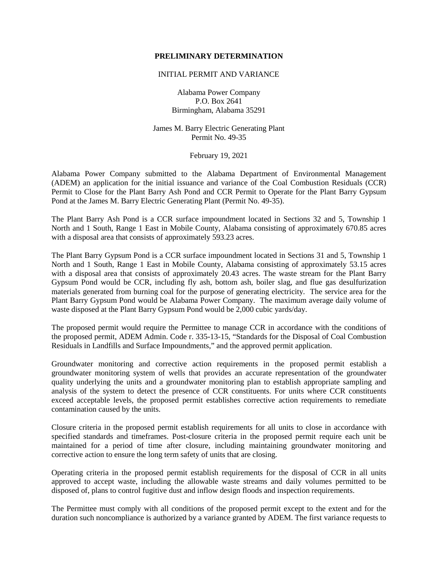### **PRELIMINARY DETERMINATION**

#### INITIAL PERMIT AND VARIANCE

Alabama Power Company P.O. Box 2641 Birmingham, Alabama 35291

James M. Barry Electric Generating Plant Permit No. 49-35

February 19, 2021

Alabama Power Company submitted to the Alabama Department of Environmental Management (ADEM) an application for the initial issuance and variance of the Coal Combustion Residuals (CCR) Permit to Close for the Plant Barry Ash Pond and CCR Permit to Operate for the Plant Barry Gypsum Pond at the James M. Barry Electric Generating Plant (Permit No. 49-35).

The Plant Barry Ash Pond is a CCR surface impoundment located in Sections 32 and 5, Township 1 North and 1 South, Range 1 East in Mobile County, Alabama consisting of approximately 670.85 acres with a disposal area that consists of approximately 593.23 acres.

The Plant Barry Gypsum Pond is a CCR surface impoundment located in Sections 31 and 5, Township 1 North and 1 South, Range 1 East in Mobile County, Alabama consisting of approximately 53.15 acres with a disposal area that consists of approximately 20.43 acres. The waste stream for the Plant Barry Gypsum Pond would be CCR, including fly ash, bottom ash, boiler slag, and flue gas desulfurization materials generated from burning coal for the purpose of generating electricity. The service area for the Plant Barry Gypsum Pond would be Alabama Power Company. The maximum average daily volume of waste disposed at the Plant Barry Gypsum Pond would be 2,000 cubic yards/day.

The proposed permit would require the Permittee to manage CCR in accordance with the conditions of the proposed permit, ADEM Admin. Code r. 335-13-15, "Standards for the Disposal of Coal Combustion Residuals in Landfills and Surface Impoundments," and the approved permit application.

Groundwater monitoring and corrective action requirements in the proposed permit establish a groundwater monitoring system of wells that provides an accurate representation of the groundwater quality underlying the units and a groundwater monitoring plan to establish appropriate sampling and analysis of the system to detect the presence of CCR constituents. For units where CCR constituents exceed acceptable levels, the proposed permit establishes corrective action requirements to remediate contamination caused by the units.

Closure criteria in the proposed permit establish requirements for all units to close in accordance with specified standards and timeframes. Post-closure criteria in the proposed permit require each unit be maintained for a period of time after closure, including maintaining groundwater monitoring and corrective action to ensure the long term safety of units that are closing.

Operating criteria in the proposed permit establish requirements for the disposal of CCR in all units approved to accept waste, including the allowable waste streams and daily volumes permitted to be disposed of, plans to control fugitive dust and inflow design floods and inspection requirements.

The Permittee must comply with all conditions of the proposed permit except to the extent and for the duration such noncompliance is authorized by a variance granted by ADEM. The first variance requests to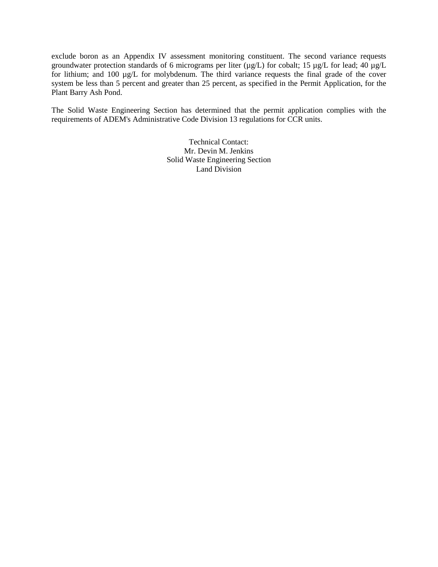exclude boron as an Appendix IV assessment monitoring constituent. The second variance requests groundwater protection standards of 6 micrograms per liter ( $\mu$ g/L) for cobalt; 15  $\mu$ g/L for lead; 40  $\mu$ g/L for lithium; and 100 µg/L for molybdenum. The third variance requests the final grade of the cover system be less than 5 percent and greater than 25 percent, as specified in the Permit Application, for the Plant Barry Ash Pond.

The Solid Waste Engineering Section has determined that the permit application complies with the requirements of ADEM's Administrative Code Division 13 regulations for CCR units.

> Technical Contact: Mr. Devin M. Jenkins Solid Waste Engineering Section Land Division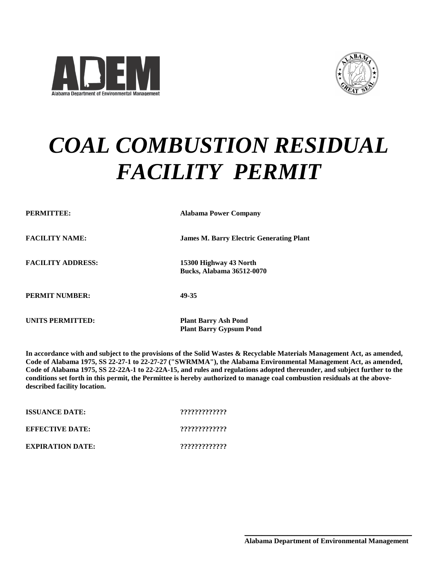



# *COAL COMBUSTION RESIDUAL FACILITY PERMIT*

| PERMITTEE:               | <b>Alabama Power Company</b>                               |  |
|--------------------------|------------------------------------------------------------|--|
| <b>FACILITY NAME:</b>    | <b>James M. Barry Electric Generating Plant</b>            |  |
| <b>FACILITY ADDRESS:</b> | 15300 Highway 43 North<br><b>Bucks, Alabama 36512-0070</b> |  |
| <b>PERMIT NUMBER:</b>    | 49-35                                                      |  |
| UNITS PERMITTED:         | <b>Plant Barry Ash Pond</b>                                |  |

**In accordance with and subject to the provisions of the Solid Wastes & Recyclable Materials Management Act, as amended, Code of Alabama 1975, SS 22-27-1 to 22-27-27 ("SWRMMA"), the Alabama Environmental Management Act, as amended, Code of Alabama 1975, SS 22-22A-1 to 22-22A-15, and rules and regulations adopted thereunder, and subject further to the conditions set forth in this permit, the Permittee is hereby authorized to manage coal combustion residuals at the abovedescribed facility location.**

**Plant Barry Gypsum Pond** 

| <b>ISSUANCE DATE:</b>   | ????????????? |  |
|-------------------------|---------------|--|
| <b>EFFECTIVE DATE:</b>  | ????????????? |  |
| <b>EXPIRATION DATE:</b> | ????????????? |  |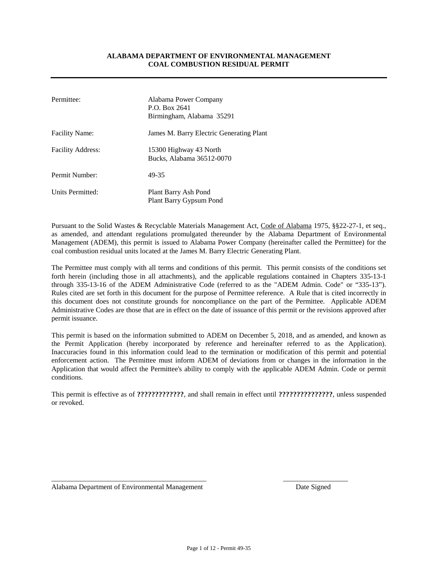#### **ALABAMA DEPARTMENT OF ENVIRONMENTAL MANAGEMENT COAL COMBUSTION RESIDUAL PERMIT**

| Permittee:               | Alabama Power Company<br>P.O. Box 2641<br>Birmingham, Alabama 35291 |
|--------------------------|---------------------------------------------------------------------|
| <b>Facility Name:</b>    | James M. Barry Electric Generating Plant                            |
| <b>Facility Address:</b> | 15300 Highway 43 North<br>Bucks, Alabama 36512-0070                 |
| Permit Number:           | 49-35                                                               |
| Units Permitted:         | Plant Barry Ash Pond<br>Plant Barry Gypsum Pond                     |

Pursuant to the Solid Wastes & Recyclable Materials Management Act, Code of Alabama 1975, §§22-27-1, et seq., as amended, and attendant regulations promulgated thereunder by the Alabama Department of Environmental Management (ADEM), this permit is issued to Alabama Power Company (hereinafter called the Permittee) for the coal combustion residual units located at the James M. Barry Electric Generating Plant.

The Permittee must comply with all terms and conditions of this permit. This permit consists of the conditions set forth herein (including those in all attachments), and the applicable regulations contained in Chapters 335-13-1 through 335-13-16 of the ADEM Administrative Code (referred to as the "ADEM Admin. Code" or "335-13"). Rules cited are set forth in this document for the purpose of Permittee reference. A Rule that is cited incorrectly in this document does not constitute grounds for noncompliance on the part of the Permittee. Applicable ADEM Administrative Codes are those that are in effect on the date of issuance of this permit or the revisions approved after permit issuance.

This permit is based on the information submitted to ADEM on December 5, 2018, and as amended, and known as the Permit Application (hereby incorporated by reference and hereinafter referred to as the Application). Inaccuracies found in this information could lead to the termination or modification of this permit and potential enforcement action. The Permittee must inform ADEM of deviations from or changes in the information in the Application that would affect the Permittee's ability to comply with the applicable ADEM Admin. Code or permit conditions.

This permit is effective as of **?????????????**, and shall remain in effect until **???????????????**, unless suspended or revoked.

Alabama Department of Environmental Management **Date Signed** Date Signed

\_\_\_\_\_\_\_\_\_\_\_\_\_\_\_\_\_\_\_\_\_\_\_\_\_\_\_\_\_\_\_\_\_\_\_\_\_\_\_\_\_\_\_ \_\_\_\_\_\_\_\_\_\_\_\_\_\_\_\_\_\_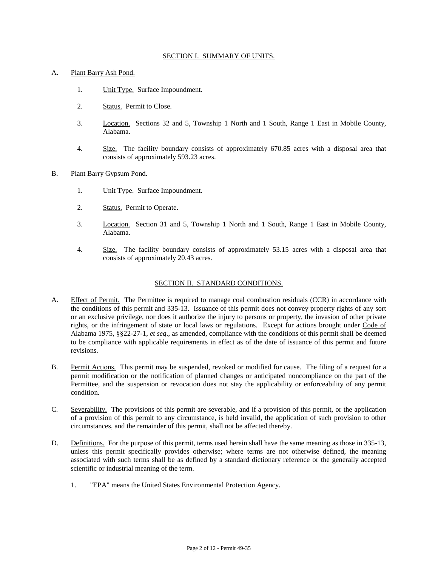#### SECTION I. SUMMARY OF UNITS.

#### A. Plant Barry Ash Pond.

- 1. Unit Type. Surface Impoundment.
- 2. Status. Permit to Close.
- 3. Location. Sections 32 and 5, Township 1 North and 1 South, Range 1 East in Mobile County, Alabama.
- 4. Size. The facility boundary consists of approximately 670.85 acres with a disposal area that consists of approximately 593.23 acres.
- B. Plant Barry Gypsum Pond.
	- 1. Unit Type. Surface Impoundment.
	- 2. Status. Permit to Operate.
	- 3. Location. Section 31 and 5, Township 1 North and 1 South, Range 1 East in Mobile County, Alabama.
	- 4. Size. The facility boundary consists of approximately 53.15 acres with a disposal area that consists of approximately 20.43 acres.

### SECTION II. STANDARD CONDITIONS.

- A. Effect of Permit. The Permittee is required to manage coal combustion residuals (CCR) in accordance with the conditions of this permit and 335-13. Issuance of this permit does not convey property rights of any sort or an exclusive privilege, nor does it authorize the injury to persons or property, the invasion of other private rights, or the infringement of state or local laws or regulations. Except for actions brought under Code of Alabama 1975, §§22-27-1, *et seq*., as amended, compliance with the conditions of this permit shall be deemed to be compliance with applicable requirements in effect as of the date of issuance of this permit and future revisions.
- B. Permit Actions. This permit may be suspended, revoked or modified for cause. The filing of a request for a permit modification or the notification of planned changes or anticipated noncompliance on the part of the Permittee, and the suspension or revocation does not stay the applicability or enforceability of any permit condition.
- C. Severability. The provisions of this permit are severable, and if a provision of this permit, or the application of a provision of this permit to any circumstance, is held invalid, the application of such provision to other circumstances, and the remainder of this permit, shall not be affected thereby.
- D. Definitions. For the purpose of this permit, terms used herein shall have the same meaning as those in 335-13, unless this permit specifically provides otherwise; where terms are not otherwise defined, the meaning associated with such terms shall be as defined by a standard dictionary reference or the generally accepted scientific or industrial meaning of the term.
	- 1. "EPA" means the United States Environmental Protection Agency.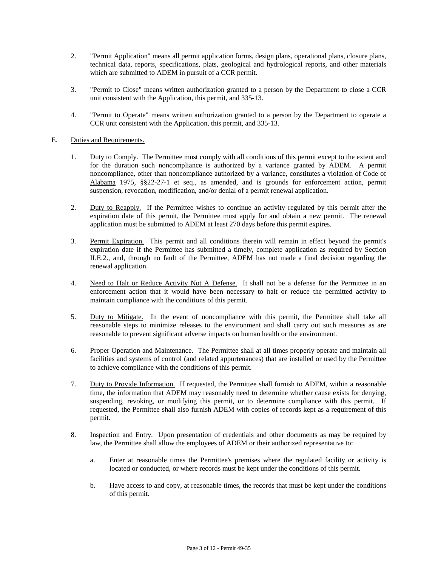- 2. "Permit Application" means all permit application forms, design plans, operational plans, closure plans, technical data, reports, specifications, plats, geological and hydrological reports, and other materials which are submitted to ADEM in pursuit of a CCR permit.
- 3. "Permit to Close" means written authorization granted to a person by the Department to close a CCR unit consistent with the Application, this permit, and 335-13.
- 4. "Permit to Operate" means written authorization granted to a person by the Department to operate a CCR unit consistent with the Application, this permit, and 335-13.

### E. Duties and Requirements.

- 1. Duty to Comply. The Permittee must comply with all conditions of this permit except to the extent and for the duration such noncompliance is authorized by a variance granted by ADEM. A permit noncompliance, other than noncompliance authorized by a variance, constitutes a violation of Code of Alabama 1975, §§22-27-1 et seq., as amended, and is grounds for enforcement action, permit suspension, revocation, modification, and/or denial of a permit renewal application.
- 2. Duty to Reapply. If the Permittee wishes to continue an activity regulated by this permit after the expiration date of this permit, the Permittee must apply for and obtain a new permit. The renewal application must be submitted to ADEM at least 270 days before this permit expires.
- 3. Permit Expiration. This permit and all conditions therein will remain in effect beyond the permit's expiration date if the Permittee has submitted a timely, complete application as required by Section II.E.2., and, through no fault of the Permittee, ADEM has not made a final decision regarding the renewal application.
- 4. Need to Halt or Reduce Activity Not A Defense. It shall not be a defense for the Permittee in an enforcement action that it would have been necessary to halt or reduce the permitted activity to maintain compliance with the conditions of this permit.
- 5. Duty to Mitigate. In the event of noncompliance with this permit, the Permittee shall take all reasonable steps to minimize releases to the environment and shall carry out such measures as are reasonable to prevent significant adverse impacts on human health or the environment.
- 6. Proper Operation and Maintenance. The Permittee shall at all times properly operate and maintain all facilities and systems of control (and related appurtenances) that are installed or used by the Permittee to achieve compliance with the conditions of this permit.
- 7. Duty to Provide Information. If requested, the Permittee shall furnish to ADEM, within a reasonable time, the information that ADEM may reasonably need to determine whether cause exists for denying, suspending, revoking, or modifying this permit, or to determine compliance with this permit. If requested, the Permittee shall also furnish ADEM with copies of records kept as a requirement of this permit.
- 8. Inspection and Entry. Upon presentation of credentials and other documents as may be required by law, the Permittee shall allow the employees of ADEM or their authorized representative to:
	- a. Enter at reasonable times the Permittee's premises where the regulated facility or activity is located or conducted, or where records must be kept under the conditions of this permit.
	- b. Have access to and copy, at reasonable times, the records that must be kept under the conditions of this permit.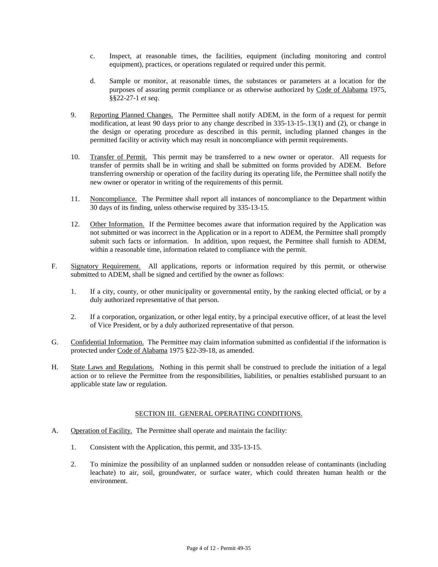- c. Inspect, at reasonable times, the facilities, equipment (including monitoring and control equipment), practices, or operations regulated or required under this permit.
- d. Sample or monitor, at reasonable times, the substances or parameters at a location for the purposes of assuring permit compliance or as otherwise authorized by Code of Alabama 1975, §§22-27-1 *et seq*.
- 9. Reporting Planned Changes. The Permittee shall notify ADEM, in the form of a request for permit modification, at least 90 days prior to any change described in 335-13-15-.13(1) and (2), or change in the design or operating procedure as described in this permit, including planned changes in the permitted facility or activity which may result in noncompliance with permit requirements.
- 10. Transfer of Permit. This permit may be transferred to a new owner or operator. All requests for transfer of permits shall be in writing and shall be submitted on forms provided by ADEM. Before transferring ownership or operation of the facility during its operating life, the Permittee shall notify the new owner or operator in writing of the requirements of this permit.
- 11. Noncompliance. The Permittee shall report all instances of noncompliance to the Department within 30 days of its finding, unless otherwise required by 335-13-15.
- 12. Other Information. If the Permittee becomes aware that information required by the Application was not submitted or was incorrect in the Application or in a report to ADEM, the Permittee shall promptly submit such facts or information. In addition, upon request, the Permittee shall furnish to ADEM, within a reasonable time, information related to compliance with the permit.
- F. Signatory Requirement. All applications, reports or information required by this permit, or otherwise submitted to ADEM, shall be signed and certified by the owner as follows:
	- 1. If a city, county, or other municipality or governmental entity, by the ranking elected official, or by a duly authorized representative of that person.
	- 2. If a corporation, organization, or other legal entity, by a principal executive officer, of at least the level of Vice President, or by a duly authorized representative of that person.
- G. Confidential Information. The Permittee may claim information submitted as confidential if the information is protected under Code of Alabama 1975 §22-39-18, as amended.
- H. State Laws and Regulations. Nothing in this permit shall be construed to preclude the initiation of a legal action or to relieve the Permittee from the responsibilities, liabilities, or penalties established pursuant to an applicable state law or regulation.

# SECTION III. GENERAL OPERATING CONDITIONS.

- A. Operation of Facility. The Permittee shall operate and maintain the facility:
	- 1. Consistent with the Application, this permit, and 335-13-15.
	- 2. To minimize the possibility of an unplanned sudden or nonsudden release of contaminants (including leachate) to air, soil, groundwater, or surface water, which could threaten human health or the environment.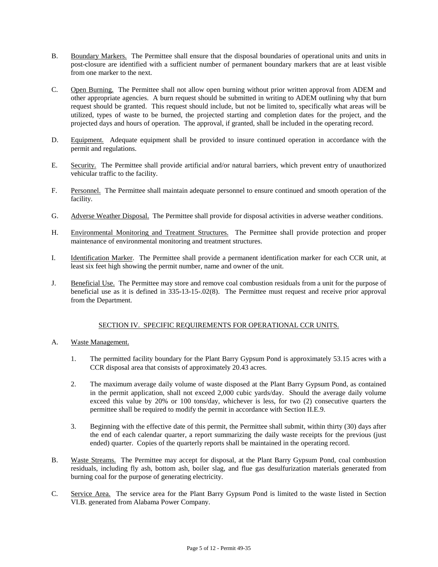- B. Boundary Markers. The Permittee shall ensure that the disposal boundaries of operational units and units in post-closure are identified with a sufficient number of permanent boundary markers that are at least visible from one marker to the next.
- C. Open Burning. The Permittee shall not allow open burning without prior written approval from ADEM and other appropriate agencies. A burn request should be submitted in writing to ADEM outlining why that burn request should be granted. This request should include, but not be limited to, specifically what areas will be utilized, types of waste to be burned, the projected starting and completion dates for the project, and the projected days and hours of operation. The approval, if granted, shall be included in the operating record.
- D. Equipment. Adequate equipment shall be provided to insure continued operation in accordance with the permit and regulations.
- E. Security. The Permittee shall provide artificial and/or natural barriers, which prevent entry of unauthorized vehicular traffic to the facility.
- F. Personnel. The Permittee shall maintain adequate personnel to ensure continued and smooth operation of the facility.
- G. Adverse Weather Disposal. The Permittee shall provide for disposal activities in adverse weather conditions.
- H. Environmental Monitoring and Treatment Structures. The Permittee shall provide protection and proper maintenance of environmental monitoring and treatment structures.
- I. Identification Marker. The Permittee shall provide a permanent identification marker for each CCR unit, at least six feet high showing the permit number, name and owner of the unit.
- J. Beneficial Use. The Permittee may store and remove coal combustion residuals from a unit for the purpose of beneficial use as it is defined in 335-13-15-.02(8). The Permittee must request and receive prior approval from the Department.

# SECTION IV. SPECIFIC REQUIREMENTS FOR OPERATIONAL CCR UNITS.

- A. Waste Management.
	- 1. The permitted facility boundary for the Plant Barry Gypsum Pond is approximately 53.15 acres with a CCR disposal area that consists of approximately 20.43 acres.
	- 2. The maximum average daily volume of waste disposed at the Plant Barry Gypsum Pond, as contained in the permit application, shall not exceed 2,000 cubic yards/day. Should the average daily volume exceed this value by 20% or 100 tons/day, whichever is less, for two (2) consecutive quarters the permittee shall be required to modify the permit in accordance with Section II.E.9.
	- 3. Beginning with the effective date of this permit, the Permittee shall submit, within thirty (30) days after the end of each calendar quarter, a report summarizing the daily waste receipts for the previous (just ended) quarter. Copies of the quarterly reports shall be maintained in the operating record.
- B. Waste Streams. The Permittee may accept for disposal, at the Plant Barry Gypsum Pond, coal combustion residuals, including fly ash, bottom ash, boiler slag, and flue gas desulfurization materials generated from burning coal for the purpose of generating electricity.
- C. Service Area. The service area for the Plant Barry Gypsum Pond is limited to the waste listed in Section VI.B. generated from Alabama Power Company.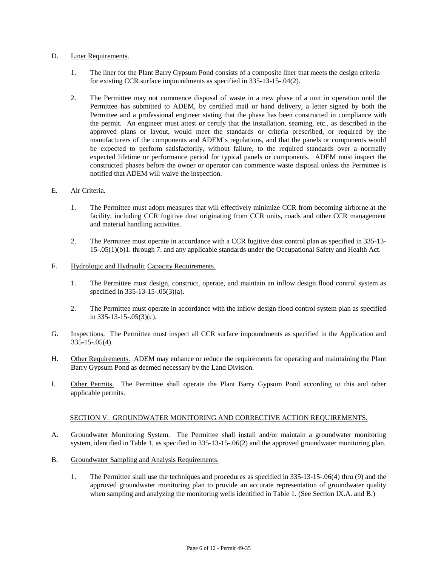#### D. Liner Requirements.

- 1. The liner for the Plant Barry Gypsum Pond consists of a composite liner that meets the design criteria for existing CCR surface impoundments as specified in 335-13-15-.04(2).
- 2. The Permittee may not commence disposal of waste in a new phase of a unit in operation until the Permittee has submitted to ADEM, by certified mail or hand delivery, a letter signed by both the Permittee and a professional engineer stating that the phase has been constructed in compliance with the permit. An engineer must attest or certify that the installation, seaming, etc., as described in the approved plans or layout, would meet the standards or criteria prescribed, or required by the manufacturers of the components and ADEM's regulations, and that the panels or components would be expected to perform satisfactorily, without failure, to the required standards over a normally expected lifetime or performance period for typical panels or components. ADEM must inspect the constructed phases before the owner or operator can commence waste disposal unless the Permittee is notified that ADEM will waive the inspection.

#### E. Air Criteria.

- 1. The Permittee must adopt measures that will effectively minimize CCR from becoming airborne at the facility, including CCR fugitive dust originating from CCR units, roads and other CCR management and material handling activities.
- 2. The Permittee must operate in accordance with a CCR fugitive dust control plan as specified in 335-13- 15-.05(1)(b)1. through 7. and any applicable standards under the Occupational Safety and Health Act.

#### F. Hydrologic and Hydraulic Capacity Requirements.

- 1. The Permittee must design, construct, operate, and maintain an inflow design flood control system as specified in 335-13-15-.05(3)(a).
- 2. The Permittee must operate in accordance with the inflow design flood control system plan as specified in 335-13-15-.05(3)(c).
- G. Inspections. The Permittee must inspect all CCR surface impoundments as specified in the Application and 335-15-.05(4).
- H. Other Requirements. ADEM may enhance or reduce the requirements for operating and maintaining the Plant Barry Gypsum Pond as deemed necessary by the Land Division.
- I. Other Permits. The Permittee shall operate the Plant Barry Gypsum Pond according to this and other applicable permits.

#### SECTION V. GROUNDWATER MONITORING AND CORRECTIVE ACTION REQUIREMENTS.

- A. Groundwater Monitoring System. The Permittee shall install and/or maintain a groundwater monitoring system, identified in Table 1, as specified in 335-13-15-.06(2) and the approved groundwater monitoring plan.
- B. Groundwater Sampling and Analysis Requirements.
	- 1. The Permittee shall use the techniques and procedures as specified in 335-13-15-.06(4) thru (9) and the approved groundwater monitoring plan to provide an accurate representation of groundwater quality when sampling and analyzing the monitoring wells identified in Table 1. (See Section IX.A. and B.)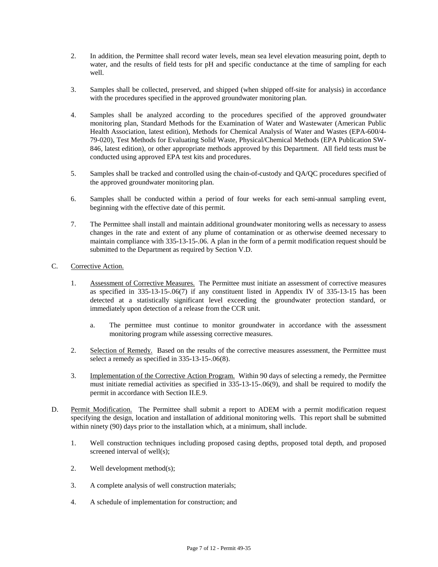- 2. In addition, the Permittee shall record water levels, mean sea level elevation measuring point, depth to water, and the results of field tests for pH and specific conductance at the time of sampling for each well.
- 3. Samples shall be collected, preserved, and shipped (when shipped off-site for analysis) in accordance with the procedures specified in the approved groundwater monitoring plan.
- 4. Samples shall be analyzed according to the procedures specified of the approved groundwater monitoring plan, Standard Methods for the Examination of Water and Wastewater (American Public Health Association, latest edition), Methods for Chemical Analysis of Water and Wastes (EPA-600/4- 79-020), Test Methods for Evaluating Solid Waste, Physical/Chemical Methods (EPA Publication SW-846, latest edition), or other appropriate methods approved by this Department. All field tests must be conducted using approved EPA test kits and procedures.
- 5. Samples shall be tracked and controlled using the chain-of-custody and QA/QC procedures specified of the approved groundwater monitoring plan.
- 6. Samples shall be conducted within a period of four weeks for each semi-annual sampling event, beginning with the effective date of this permit.
- 7. The Permittee shall install and maintain additional groundwater monitoring wells as necessary to assess changes in the rate and extent of any plume of contamination or as otherwise deemed necessary to maintain compliance with 335-13-15-.06. A plan in the form of a permit modification request should be submitted to the Department as required by Section V.D.
- C. Corrective Action.
	- 1. Assessment of Corrective Measures. The Permittee must initiate an assessment of corrective measures as specified in 335-13-15-.06(7) if any constituent listed in Appendix IV of 335-13-15 has been detected at a statistically significant level exceeding the groundwater protection standard, or immediately upon detection of a release from the CCR unit.
		- a. The permittee must continue to monitor groundwater in accordance with the assessment monitoring program while assessing corrective measures.
	- 2. Selection of Remedy. Based on the results of the corrective measures assessment, the Permittee must select a remedy as specified in 335-13-15-.06(8).
	- 3. Implementation of the Corrective Action Program. Within 90 days of selecting a remedy, the Permittee must initiate remedial activities as specified in 335-13-15-.06(9), and shall be required to modify the permit in accordance with Section II.E.9.
- D. Permit Modification. The Permittee shall submit a report to ADEM with a permit modification request specifying the design, location and installation of additional monitoring wells. This report shall be submitted within ninety (90) days prior to the installation which, at a minimum, shall include.
	- 1. Well construction techniques including proposed casing depths, proposed total depth, and proposed screened interval of well(s);
	- 2. Well development method(s);
	- 3. A complete analysis of well construction materials;
	- 4. A schedule of implementation for construction; and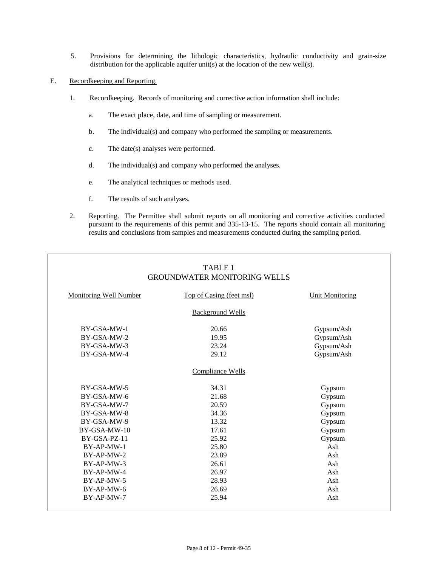5. Provisions for determining the lithologic characteristics, hydraulic conductivity and grain-size distribution for the applicable aquifer unit(s) at the location of the new well(s).

### E. Recordkeeping and Reporting.

- 1. Recordkeeping. Records of monitoring and corrective action information shall include:
	- a. The exact place, date, and time of sampling or measurement.
	- b. The individual(s) and company who performed the sampling or measurements.
	- c. The date(s) analyses were performed.
	- d. The individual(s) and company who performed the analyses.
	- e. The analytical techniques or methods used.
	- f. The results of such analyses.
- 2. Reporting. The Permittee shall submit reports on all monitoring and corrective activities conducted pursuant to the requirements of this permit and 335-13-15. The reports should contain all monitoring results and conclusions from samples and measurements conducted during the sampling period.

|                               | TABLE 1<br><b>GROUNDWATER MONITORING WELLS</b> |                        |
|-------------------------------|------------------------------------------------|------------------------|
| <b>Monitoring Well Number</b> | Top of Casing (feet msl)                       | <b>Unit Monitoring</b> |
|                               | <b>Background Wells</b>                        |                        |
| BY-GSA-MW-1                   | 20.66                                          | Gypsum/Ash             |
| BY-GSA-MW-2                   | 19.95                                          | Gypsum/Ash             |
| BY-GSA-MW-3                   | 23.24                                          | Gypsum/Ash             |
| BY-GSA-MW-4                   | 29.12                                          | Gypsum/Ash             |
|                               | Compliance Wells                               |                        |
| BY-GSA-MW-5                   | 34.31                                          | Gypsum                 |
| BY-GSA-MW-6                   | 21.68                                          | Gypsum                 |
| BY-GSA-MW-7                   | 20.59                                          | Gypsum                 |
| BY-GSA-MW-8                   | 34.36                                          | Gypsum                 |
| BY-GSA-MW-9                   | 13.32                                          | Gypsum                 |
| BY-GSA-MW-10                  | 17.61                                          | Gypsum                 |
| BY-GSA-PZ-11                  | 25.92                                          | Gypsum                 |
| $BY-AP-MW-1$                  | 25.80                                          | Ash                    |
| $BY-AP-MW-2$                  | 23.89                                          | Ash                    |
| BY-AP-MW-3                    | 26.61                                          | Ash                    |
| BY-AP-MW-4                    | 26.97                                          | Ash                    |
| BY-AP-MW-5                    | 28.93                                          | Ash                    |
| BY-AP-MW-6                    | 26.69                                          | Ash                    |
| BY-AP-MW-7                    | 25.94                                          | Ash                    |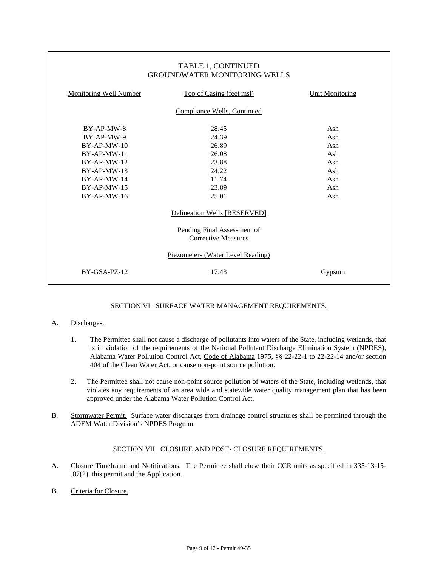| TABLE 1, CONTINUED<br><b>GROUNDWATER MONITORING WELLS</b> |                          |                        |  |  |
|-----------------------------------------------------------|--------------------------|------------------------|--|--|
| <b>Monitoring Well Number</b>                             | Top of Casing (feet msl) | <b>Unit Monitoring</b> |  |  |
| Compliance Wells, Continued                               |                          |                        |  |  |
| BY-AP-MW-8                                                | 28.45                    | Ash                    |  |  |
| BY-AP-MW-9                                                | 24.39                    | Ash                    |  |  |
| $BY-AP-MW-10$                                             | 26.89                    | Ash                    |  |  |
| $BY-AP-MW-11$                                             | 26.08                    | Ash                    |  |  |
| $BY-AP-MW-12$                                             | 23.88                    | Ash                    |  |  |
| $BY-AP-MW-13$                                             | 24.22                    | Ash                    |  |  |
| $BY-AP-MW-14$                                             | 11.74                    | Ash                    |  |  |
| $BY-AP-MW-15$                                             | 23.89                    | Ash                    |  |  |
| $BY-AP-MW-16$                                             | 25.01                    | Ash                    |  |  |
| Delineation Wells [RESERVED]                              |                          |                        |  |  |
| Pending Final Assessment of<br>Corrective Measures        |                          |                        |  |  |
| Piezometers (Water Level Reading)                         |                          |                        |  |  |
| $BY-GSA-PZ-12$                                            | 17.43                    | Gypsum                 |  |  |

# SECTION VI. SURFACE WATER MANAGEMENT REQUIREMENTS.

# A. Discharges.

- 1. The Permittee shall not cause a discharge of pollutants into waters of the State, including wetlands, that is in violation of the requirements of the National Pollutant Discharge Elimination System (NPDES), Alabama Water Pollution Control Act, Code of Alabama 1975, §§ 22-22-1 to 22-22-14 and/or section 404 of the Clean Water Act, or cause non-point source pollution.
- 2. The Permittee shall not cause non-point source pollution of waters of the State, including wetlands, that violates any requirements of an area wide and statewide water quality management plan that has been approved under the Alabama Water Pollution Control Act.
- B. Stormwater Permit. Surface water discharges from drainage control structures shall be permitted through the ADEM Water Division's NPDES Program.

# SECTION VII. CLOSURE AND POST- CLOSURE REQUIREMENTS.

- A. Closure Timeframe and Notifications. The Permittee shall close their CCR units as specified in 335-13-15- .07(2), this permit and the Application.
- B. Criteria for Closure.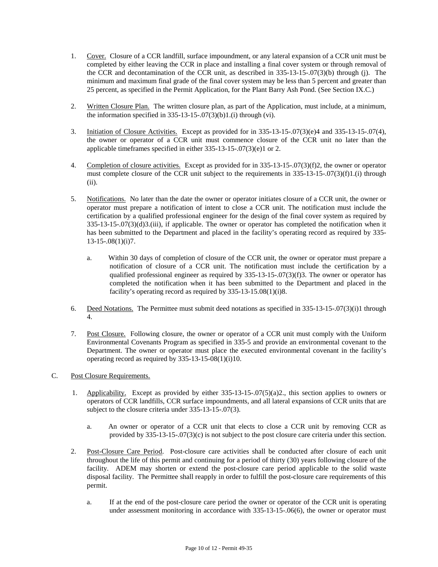- 1. Cover. Closure of a CCR landfill, surface impoundment, or any lateral expansion of a CCR unit must be completed by either leaving the CCR in place and installing a final cover system or through removal of the CCR and decontamination of the CCR unit, as described in 335-13-15-.07(3)(b) through (j). The minimum and maximum final grade of the final cover system may be less than 5 percent and greater than 25 percent, as specified in the Permit Application, for the Plant Barry Ash Pond. (See Section IX.C.)
- 2. Written Closure Plan. The written closure plan, as part of the Application, must include, at a minimum, the information specified in  $335-13-15-07(3)(b)1(1)$  through (vi).
- 3. Initiation of Closure Activities. Except as provided for in 335-13-15-.07(3)(e)4 and 335-13-15-.07(4), the owner or operator of a CCR unit must commence closure of the CCR unit no later than the applicable timeframes specified in either 335-13-15-.07(3)(e)1 or 2.
- 4. Completion of closure activities. Except as provided for in 335-13-15-.07(3)(f)2, the owner or operator must complete closure of the CCR unit subject to the requirements in 335-13-15-.07(3)(f)1.(i) through (ii).
- 5. Notifications. No later than the date the owner or operator initiates closure of a CCR unit, the owner or operator must prepare a notification of intent to close a CCR unit. The notification must include the certification by a qualified professional engineer for the design of the final cover system as required by 335-13-15-.07(3)(d)3.(iii), if applicable. The owner or operator has completed the notification when it has been submitted to the Department and placed in the facility's operating record as required by 335-  $13-15-08(1)(i)7$ .
	- a. Within 30 days of completion of closure of the CCR unit, the owner or operator must prepare a notification of closure of a CCR unit. The notification must include the certification by a qualified professional engineer as required by 335-13-15-.07(3)(f)3. The owner or operator has completed the notification when it has been submitted to the Department and placed in the facility's operating record as required by 335-13-15.08(1)(i)8.
- 6. Deed Notations. The Permittee must submit deed notations as specified in 335-13-15-.07(3)(i)1 through 4.
- 7. Post Closure. Following closure, the owner or operator of a CCR unit must comply with the Uniform Environmental Covenants Program as specified in 335-5 and provide an environmental covenant to the Department. The owner or operator must place the executed environmental covenant in the facility's operating record as required by 335-13-15-08(1)(i)10.
- C. Post Closure Requirements.
	- 1. Applicability. Except as provided by either 335-13-15-.07(5)(a)2., this section applies to owners or operators of CCR landfills, CCR surface impoundments, and all lateral expansions of CCR units that are subject to the closure criteria under 335-13-15-.07(3).
		- a. An owner or operator of a CCR unit that elects to close a CCR unit by removing CCR as provided by 335-13-15-.07(3)(c) is not subject to the post closure care criteria under this section.
	- 2. Post-Closure Care Period. Post-closure care activities shall be conducted after closure of each unit throughout the life of this permit and continuing for a period of thirty (30) years following closure of the facility. ADEM may shorten or extend the post-closure care period applicable to the solid waste disposal facility. The Permittee shall reapply in order to fulfill the post-closure care requirements of this permit.
		- a. If at the end of the post-closure care period the owner or operator of the CCR unit is operating under assessment monitoring in accordance with 335-13-15-.06(6), the owner or operator must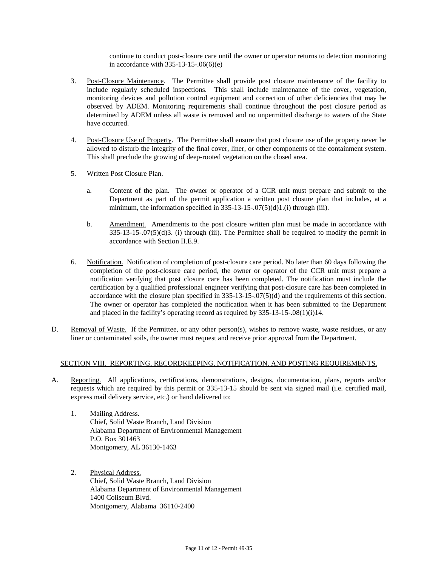continue to conduct post-closure care until the owner or operator returns to detection monitoring in accordance with 335-13-15-.06(6)(e)

- 3. Post-Closure Maintenance. The Permittee shall provide post closure maintenance of the facility to include regularly scheduled inspections. This shall include maintenance of the cover, vegetation, monitoring devices and pollution control equipment and correction of other deficiencies that may be observed by ADEM. Monitoring requirements shall continue throughout the post closure period as determined by ADEM unless all waste is removed and no unpermitted discharge to waters of the State have occurred.
- 4. Post-Closure Use of Property. The Permittee shall ensure that post closure use of the property never be allowed to disturb the integrity of the final cover, liner, or other components of the containment system. This shall preclude the growing of deep-rooted vegetation on the closed area.
- 5. Written Post Closure Plan.
	- a. Content of the plan. The owner or operator of a CCR unit must prepare and submit to the Department as part of the permit application a written post closure plan that includes, at a minimum, the information specified in  $335-13-15-07(5)(d)1(1)$  through (iii).
	- b. Amendment. Amendments to the post closure written plan must be made in accordance with 335-13-15-.07(5)(d)3. (i) through (iii). The Permittee shall be required to modify the permit in accordance with Section II.E.9.
- 6. Notification. Notification of completion of post-closure care period. No later than 60 days following the completion of the post-closure care period, the owner or operator of the CCR unit must prepare a notification verifying that post closure care has been completed. The notification must include the certification by a qualified professional engineer verifying that post-closure care has been completed in accordance with the closure plan specified in  $335-13-15-07(5)(d)$  and the requirements of this section. The owner or operator has completed the notification when it has been submitted to the Department and placed in the facility's operating record as required by 335-13-15-.08(1)(i)14.
- D. Removal of Waste. If the Permittee, or any other person(s), wishes to remove waste, waste residues, or any liner or contaminated soils, the owner must request and receive prior approval from the Department.

#### SECTION VIII. REPORTING, RECORDKEEPING, NOTIFICATION, AND POSTING REQUIREMENTS.

- A. Reporting. All applications, certifications, demonstrations, designs, documentation, plans, reports and/or requests which are required by this permit or 335-13-15 should be sent via signed mail (i.e. certified mail, express mail delivery service, etc.) or hand delivered to:
	- 1. Mailing Address. Chief, Solid Waste Branch, Land Division Alabama Department of Environmental Management P.O. Box 301463 Montgomery, AL 36130-1463
	- 2. Physical Address. Chief, Solid Waste Branch, Land Division Alabama Department of Environmental Management 1400 Coliseum Blvd. Montgomery, Alabama 36110-2400